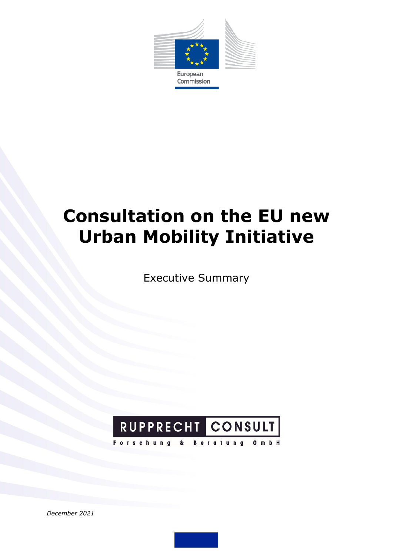

# **Consultation on the EU new Urban Mobility Initiative**

Executive Summary



*December 2021*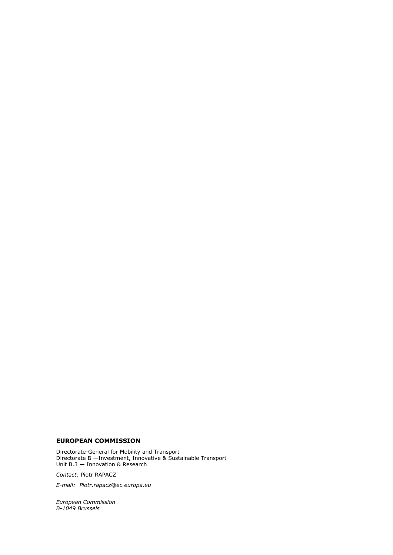#### **EUROPEAN COMMISSION**

Directorate-General for Mobility and Transport Directorate B —Investment, Innovative & Sustainable Transport Unit B.3 — Innovation & Research

*Contact:* Piotr RAPACZ

*E-mail: Piotr.rapacz*@*ec.europa.eu*

*European Commission B-1049 Brussels*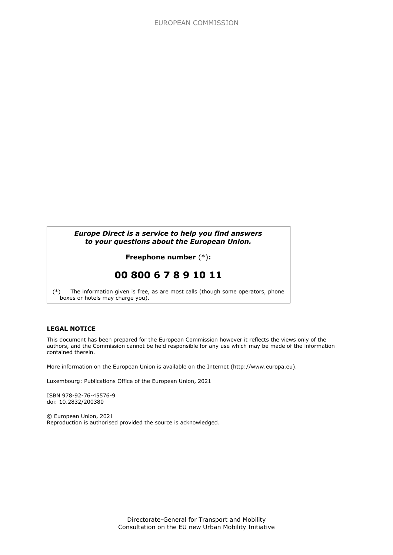### *Europe Direct is a service to help you find answers to your questions about the European Union.*

### **Freephone number** (\*)**:**

## **00 800 6 7 8 9 10 11**

[\(\\*\)](http://europa.eu.int/citizensrights/signpost/about/index_en.htm#note1#note1) The information given is free, as are most calls (though some operators, phone boxes or hotels may charge you).

#### **LEGAL NOTICE**

This document has been prepared for the European Commission however it reflects the views only of the authors, and the Commission cannot be held responsible for any use which may be made of the information contained therein.

More information on the European Union is available on the Internet (http://www.europa.eu).

Luxembourg: Publications Office of the European Union, 2021

ISBN 978-92-76-45576-9 doi: 10.2832/200380

© European Union, 2021 Reproduction is authorised provided the source is acknowledged.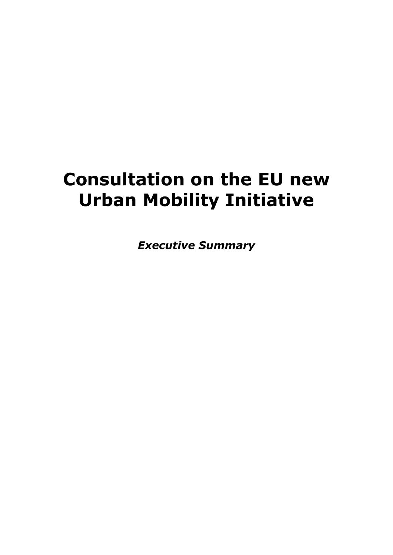# **Consultation on the EU new Urban Mobility Initiative**

*Executive Summary*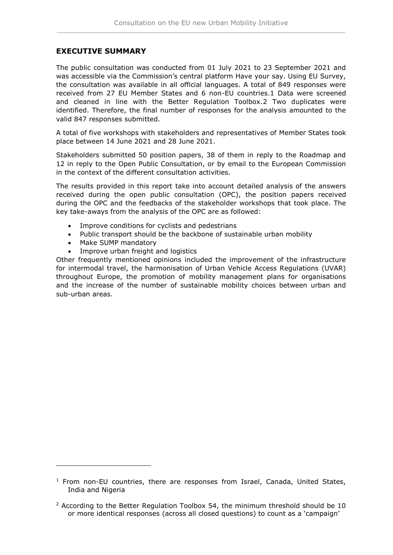## **EXECUTIVE SUMMARY**

The public consultation was conducted from 01 July 2021 to 23 September 2021 and was accessible via the Commission's central platform Have your say. Using EU Survey, the consultation was available in all official languages. A total of 849 responses were received from 27 EU Member States and 6 non-EU countries.1 Data were screened and cleaned in line with the Better Regulation Toolbox.2 Two duplicates were identified. Therefore, the final number of responses for the analysis amounted to the valid 847 responses submitted.

A total of five workshops with stakeholders and representatives of Member States took place between 14 June 2021 and 28 June 2021.

Stakeholders submitted 50 position papers, 38 of them in reply to the Roadmap and 12 in reply to the Open Public Consultation, or by email to the European Commission in the context of the different consultation activities.

The results provided in this report take into account detailed analysis of the answers received during the open public consultation (OPC), the position papers received during the OPC and the feedbacks of the stakeholder workshops that took place. The key take-aways from the analysis of the OPC are as followed:

- Improve conditions for cyclists and pedestrians
- Public transport should be the backbone of sustainable urban mobility
- Make SUMP mandatory

1

• Improve urban freight and logistics

Other frequently mentioned opinions included the improvement of the infrastructure for intermodal travel, the harmonisation of Urban Vehicle Access Regulations (UVAR) throughout Europe, the promotion of mobility management plans for organisations and the increase of the number of sustainable mobility choices between urban and sub-urban areas.

 $1$  From non-EU countries, there are responses from Israel, Canada, United States, India and Nigeria

 $2$  According to the Better Regulation Toolbox 54, the minimum threshold should be 10 or more identical responses (across all closed questions) to count as a 'campaign'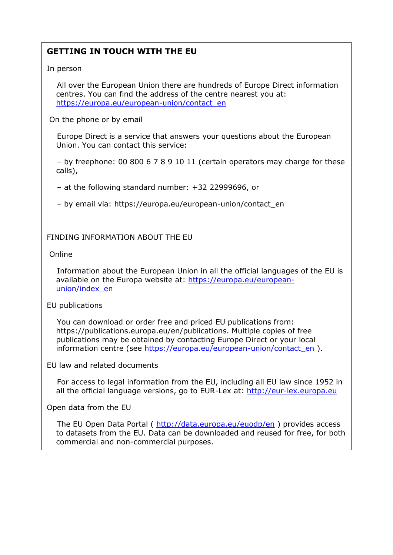## **GETTING IN TOUCH WITH THE EU**

### In person

 All over the European Union there are hundreds of Europe Direct information centres. You can find the address of the centre nearest you at: [https://europa.eu/european-union/contact\\_en](https://europa.eu/european-union/contact_en)

On the phone or by email

 Europe Direct is a service that answers your questions about the European Union. You can contact this service:

 – by freephone: 00 800 6 7 8 9 10 11 (certain operators may charge for these calls),

– at the following standard number: +32 22999696, or

– by email via: https://europa.eu/european-union/contact\_en

FINDING INFORMATION ABOUT THE EU

Online

 Information about the European Union in all the official languages of the EU is available on the Europa website at: [https://europa.eu/european](https://europa.eu/european-union/index_en)[union/index\\_en](https://europa.eu/european-union/index_en)

## EU publications

 You can download or order free and priced EU publications from: https://publications.europa.eu/en/publications. Multiple copies of free publications may be obtained by contacting Europe Direct or your local information centre (see [https://europa.eu/european-union/contact\\_en](https://europa.eu/european-union/contact_en) ).

EU law and related documents

 For access to legal information from the EU, including all EU law since 1952 in all the official language versions, go to EUR-Lex at: [http://eur-lex.europa.eu](http://eur-lex.europa.eu/)

Open data from the EU

The EU Open Data Portal ( <http://data.europa.eu/euodp/en> ) provides access to datasets from the EU. Data can be downloaded and reused for free, for both commercial and non-commercial purposes.